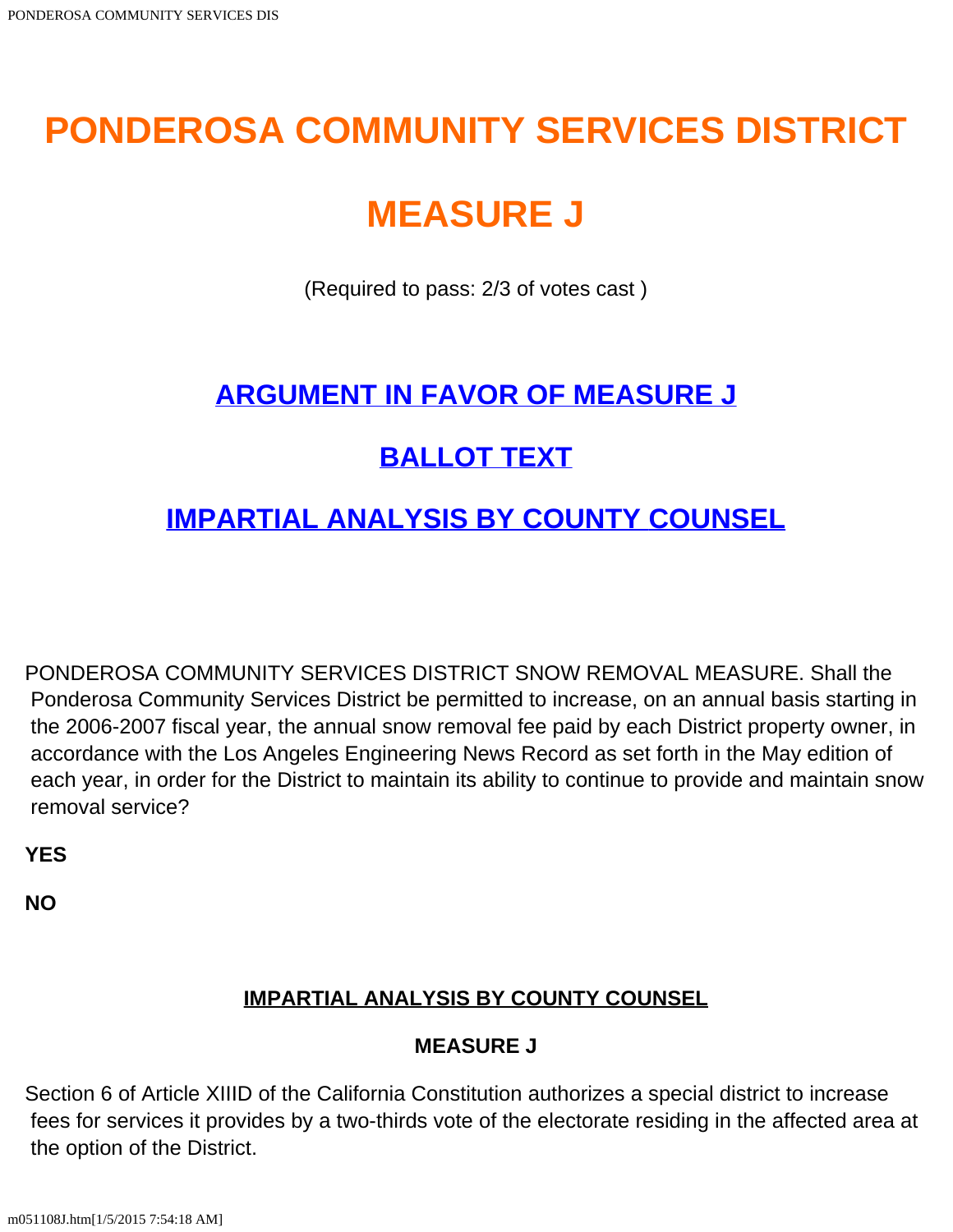# **PONDEROSA COMMUNITY SERVICES DISTRICT**

# **MEASURE J**

(Required to pass: 2/3 of votes cast )

## **[ARGUMENT IN FAVOR OF MEASURE J](#page-1-0)**

# **[BALLOT TEXT](#page-0-0)**

## **[IMPARTIAL ANALYSIS BY COUNTY COUNSEL](#page-0-1)**

<span id="page-0-0"></span>PONDEROSA COMMUNITY SERVICES DISTRICT SNOW REMOVAL MEASURE. Shall the Ponderosa Community Services District be permitted to increase, on an annual basis starting in the 2006-2007 fiscal year, the annual snow removal fee paid by each District property owner, in accordance with the Los Angeles Engineering News Record as set forth in the May edition of each year, in order for the District to maintain its ability to continue to provide and maintain snow removal service?

**YES**

<span id="page-0-1"></span>**NO**

## **IMPARTIAL ANALYSIS BY COUNTY COUNSEL**

## **MEASURE J**

Section 6 of Article XIIID of the California Constitution authorizes a special district to increase fees for services it provides by a two-thirds vote of the electorate residing in the affected area at the option of the District.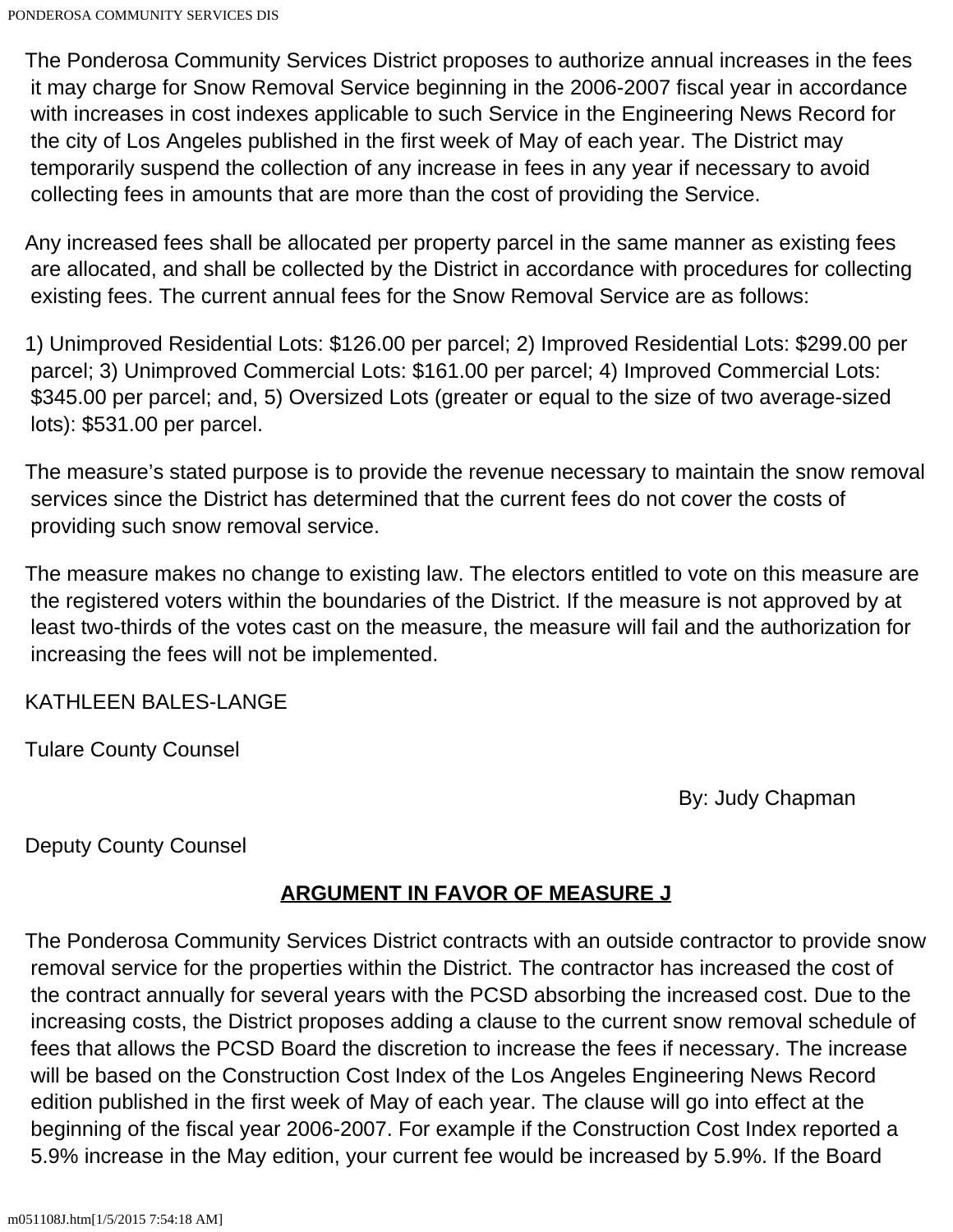The Ponderosa Community Services District proposes to authorize annual increases in the fees it may charge for Snow Removal Service beginning in the 2006-2007 fiscal year in accordance with increases in cost indexes applicable to such Service in the Engineering News Record for the city of Los Angeles published in the first week of May of each year. The District may temporarily suspend the collection of any increase in fees in any year if necessary to avoid collecting fees in amounts that are more than the cost of providing the Service.

Any increased fees shall be allocated per property parcel in the same manner as existing fees are allocated, and shall be collected by the District in accordance with procedures for collecting existing fees. The current annual fees for the Snow Removal Service are as follows:

1) Unimproved Residential Lots: \$126.00 per parcel; 2) Improved Residential Lots: \$299.00 per parcel; 3) Unimproved Commercial Lots: \$161.00 per parcel; 4) Improved Commercial Lots: \$345.00 per parcel; and, 5) Oversized Lots (greater or equal to the size of two average-sized lots): \$531.00 per parcel.

The measure's stated purpose is to provide the revenue necessary to maintain the snow removal services since the District has determined that the current fees do not cover the costs of providing such snow removal service.

The measure makes no change to existing law. The electors entitled to vote on this measure are the registered voters within the boundaries of the District. If the measure is not approved by at least two-thirds of the votes cast on the measure, the measure will fail and the authorization for increasing the fees will not be implemented.

#### KATHLEEN BALES-LANGE

Tulare County Counsel

By: Judy Chapman

<span id="page-1-0"></span>Deputy County Counsel

### **ARGUMENT IN FAVOR OF MEASURE J**

The Ponderosa Community Services District contracts with an outside contractor to provide snow removal service for the properties within the District. The contractor has increased the cost of the contract annually for several years with the PCSD absorbing the increased cost. Due to the increasing costs, the District proposes adding a clause to the current snow removal schedule of fees that allows the PCSD Board the discretion to increase the fees if necessary. The increase will be based on the Construction Cost Index of the Los Angeles Engineering News Record edition published in the first week of May of each year. The clause will go into effect at the beginning of the fiscal year 2006-2007. For example if the Construction Cost Index reported a 5.9% increase in the May edition, your current fee would be increased by 5.9%. If the Board